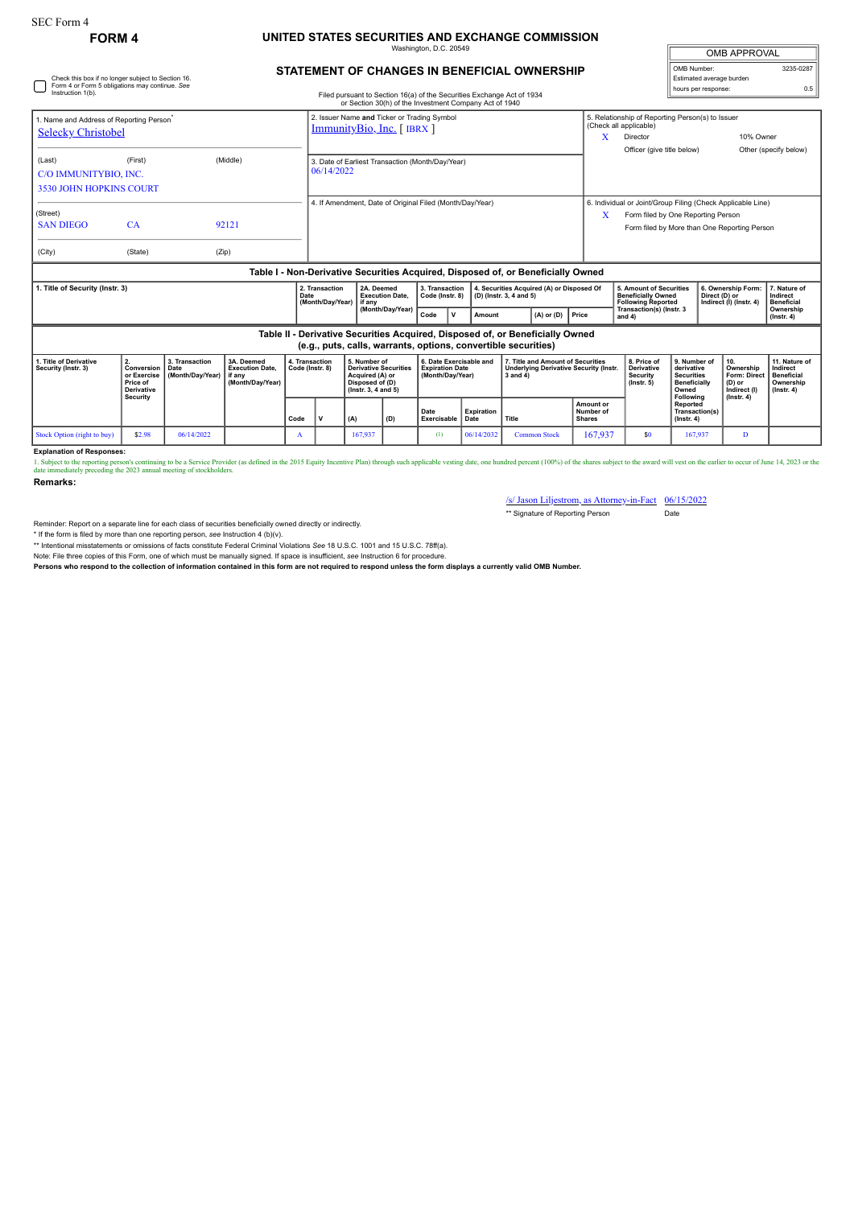## **FORM 4 UNITED STATES SECURITIES AND EXCHANGE COMMISSION** Washington, D.C. 20549

| <b>OMB APPROVAL</b>      |           |  |  |  |  |  |  |  |
|--------------------------|-----------|--|--|--|--|--|--|--|
| OMB Number:              | 3235-0287 |  |  |  |  |  |  |  |
| Estimated average burden |           |  |  |  |  |  |  |  |
| hours per response:      | ሰ 5       |  |  |  |  |  |  |  |

## **STATEMENT OF CHANGES IN BENEFICIAL OWNERSHIP**

| Check this box if no longer subject to Section 16.<br>Form 4 or Form 5 obligations may continue. See |                                                                              |                                                                    |                                                                                  |                                   |                                                                         |                                                                                                                                  |  |                                                                       |             |                                                                      |                                                                                                |                                                                               | Estimated average burden<br>hours per response: |                                                                                                                                                   |                                                                                              |                                                                |                                  |                                                                                 |
|------------------------------------------------------------------------------------------------------|------------------------------------------------------------------------------|--------------------------------------------------------------------|----------------------------------------------------------------------------------|-----------------------------------|-------------------------------------------------------------------------|----------------------------------------------------------------------------------------------------------------------------------|--|-----------------------------------------------------------------------|-------------|----------------------------------------------------------------------|------------------------------------------------------------------------------------------------|-------------------------------------------------------------------------------|-------------------------------------------------|---------------------------------------------------------------------------------------------------------------------------------------------------|----------------------------------------------------------------------------------------------|----------------------------------------------------------------|----------------------------------|---------------------------------------------------------------------------------|
| Instruction 1(b).                                                                                    |                                                                              |                                                                    |                                                                                  |                                   |                                                                         | Filed pursuant to Section 16(a) of the Securities Exchange Act of 1934<br>or Section 30(h) of the Investment Company Act of 1940 |  |                                                                       |             |                                                                      |                                                                                                |                                                                               |                                                 |                                                                                                                                                   |                                                                                              |                                                                |                                  | 0.5                                                                             |
| 1. Name and Address of Reporting Person <sup>®</sup><br><b>Selecky Christobel</b>                    |                                                                              |                                                                    |                                                                                  |                                   | 2. Issuer Name and Ticker or Trading Symbol<br>ImmunityBio, Inc. [IBRX] |                                                                                                                                  |  |                                                                       |             |                                                                      |                                                                                                |                                                                               | $\mathbf x$                                     | 5. Relationship of Reporting Person(s) to Issuer<br>(Check all applicable)<br>10% Owner<br>Director                                               |                                                                                              |                                                                |                                  |                                                                                 |
| (Last)<br>C/O IMMUNITYBIO, INC.<br><b>3530 JOHN HOPKINS COURT</b>                                    | (First)                                                                      |                                                                    | (Middle)                                                                         |                                   | 3. Date of Earliest Transaction (Month/Day/Year)<br>06/14/2022          |                                                                                                                                  |  |                                                                       |             |                                                                      |                                                                                                |                                                                               |                                                 | Officer (give title below)                                                                                                                        |                                                                                              |                                                                |                                  | Other (specify below)                                                           |
| (Street)<br><b>SAN DIEGO</b>                                                                         | CA                                                                           |                                                                    | 92121                                                                            |                                   | 4. If Amendment. Date of Original Filed (Month/Dav/Year)                |                                                                                                                                  |  |                                                                       |             |                                                                      |                                                                                                |                                                                               | х                                               | 6. Individual or Joint/Group Filing (Check Applicable Line)<br>Form filed by One Reporting Person<br>Form filed by More than One Reporting Person |                                                                                              |                                                                |                                  |                                                                                 |
| (City)                                                                                               | (State)                                                                      | (Zip)                                                              | Table I - Non-Derivative Securities Acquired, Disposed of, or Beneficially Owned |                                   |                                                                         |                                                                                                                                  |  |                                                                       |             |                                                                      |                                                                                                |                                                                               |                                                 |                                                                                                                                                   |                                                                                              |                                                                |                                  |                                                                                 |
| 1. Title of Security (Instr. 3)                                                                      |                                                                              |                                                                    |                                                                                  | Date                              | 2. Transaction<br>(Month/Day/Year)                                      | 2A. Deemed<br><b>Execution Date.</b><br>if anv                                                                                   |  | 3. Transaction<br>Code (Instr. 8)                                     |             | 4. Securities Acquired (A) or Disposed Of<br>(D) (Instr. 3, 4 and 5) |                                                                                                |                                                                               |                                                 | <b>5. Amount of Securities</b><br><b>Beneficially Owned</b><br><b>Following Reported</b>                                                          |                                                                                              | 6. Ownership Form:<br>Direct (D) or<br>Indirect (I) (Instr. 4) |                                  | 7. Nature of<br>Indirect<br><b>Beneficial</b>                                   |
|                                                                                                      |                                                                              |                                                                    |                                                                                  |                                   |                                                                         | (Month/Day/Year)                                                                                                                 |  | Code                                                                  | $\mathbf v$ | Amount                                                               |                                                                                                | $(A)$ or $(D)$                                                                | Price                                           | Transaction(s) (Instr. 3<br>and $4$ )                                                                                                             |                                                                                              |                                                                |                                  | Ownership<br>$($ lnstr. 4 $)$                                                   |
|                                                                                                      |                                                                              |                                                                    |                                                                                  |                                   | (e.g., puts, calls, warrants, options, convertible securities)          |                                                                                                                                  |  |                                                                       |             |                                                                      |                                                                                                | Table II - Derivative Securities Acquired, Disposed of, or Beneficially Owned |                                                 |                                                                                                                                                   |                                                                                              |                                                                |                                  |                                                                                 |
| 1. Title of Derivative<br>Security (Instr. 3)                                                        | 2.<br>Conversion<br>or Exercise<br>Price of<br><b>Derivative</b><br>Security | 3. Transaction<br>3A. Deemed<br>Date<br>(Month/Day/Year)<br>if any | <b>Execution Date.</b><br>(Month/Day/Year)                                       | 4. Transaction<br>Code (Instr. 8) |                                                                         | 5. Number of<br><b>Derivative Securities</b><br>Acquired (A) or<br>Disposed of (D)<br>(Instr. 3, 4 and 5)                        |  | 6. Date Exercisable and<br><b>Expiration Date</b><br>(Month/Dav/Year) |             |                                                                      | 7. Title and Amount of Securities<br><b>Underlying Derivative Security (Instr.</b><br>3 and 4) |                                                                               |                                                 | 8. Price of<br><b>Derivative</b><br><b>Security</b><br>$($ lnstr. 5 $)$                                                                           | 9. Number of<br>derivative<br><b>Securities</b><br><b>Beneficially</b><br>Owned<br>Following | 10.<br>Ownership<br>(D) or<br>Indirect (I)                     | Form: Direct<br>$($ Instr. 4 $)$ | 11. Nature of<br>Indirect<br><b>Beneficial</b><br>Ownership<br>$($ lnstr. 4 $)$ |
|                                                                                                      |                                                                              |                                                                    |                                                                                  |                                   |                                                                         |                                                                                                                                  |  |                                                                       |             |                                                                      |                                                                                                |                                                                               | Amount or                                       |                                                                                                                                                   | Reported                                                                                     |                                                                |                                  |                                                                                 |

**Transaction(s) (Instr. 4)**  $\begin{bmatrix} (A) \end{bmatrix}$   $\begin{bmatrix} (D) \end{bmatrix}$ **Date Exercisable** ble **Expi**<br>ble Date **Date Title Number of Shares** Stock Option (right to buy) | \$2.98 | 06/14/2022 | A | 167,937 | (1) | 06/14/2032 Common Stock | 167,937 | \$0 | 167,937 | D

**Explanation of Responses:**

1. Subject to the reporting person's continuing to be a Service Provider (as defined in the 2015 Equity Incentive Plan) through such applicable vesting date, one hundred percent (100%) of the shares subject to the award wi

**Remarks:**

/s/ Jason Liljestrom, as Attorney-in-Fact 06/15/2022 \*\* Signature of Reporting Person Date

Reminder: Report on a separate line for each class of securities beneficially owned directly or indirectly.

\* If the form is filed by more than one reporting person, see Instruction 4 (b)(v).<br>\*\* Intentional misstatements or omissions of facts constitute Federal Criminal Violations See 18 U.S.C. 1001 and 15 U.S.C. 78ff(a).

Note: File three copies of this Form, one of which must be manually signed. If space is insufficient, *see* Instruction 6 for procedure.

**Persons who respond to the collection of information contained in this form are not required to respond unless the form displays a currently valid OMB Number.**